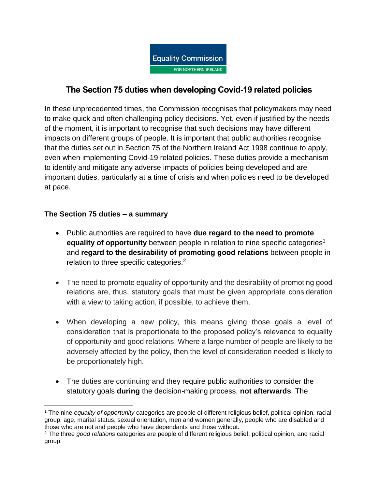

# **The Section 75 duties when developing Covid-19 related policies**

In these unprecedented times, the Commission recognises that policymakers may need to make quick and often challenging policy decisions. Yet, even if justified by the needs of the moment, it is important to recognise that such decisions may have different impacts on different groups of people. It is important that public authorities recognise that the duties set out in Section 75 of the Northern Ireland Act 1998 continue to apply, even when implementing Covid-19 related policies. These duties provide a mechanism to identify and mitigate any adverse impacts of policies being developed and are important duties, particularly at a time of crisis and when policies need to be developed at pace.

## **The Section 75 duties – a summary**

 $\overline{a}$ 

- Public authorities are required to have **[due regard to the need to promote](https://www.equalityni.org/ECNI/media/ECNI/Publications/Employers%20and%20Service%20Providers/Public%20Authorities/Public_Sector_Equality_and_Disability_Duties-Short_Guide.pdf)  [equality of opportunity](https://www.equalityni.org/ECNI/media/ECNI/Publications/Employers%20and%20Service%20Providers/Public%20Authorities/Public_Sector_Equality_and_Disability_Duties-Short_Guide.pdf)** between people in relation to nine specific categories<sup>1</sup> and **regard [to the desirability of promoting good relations](http://www.equalityni.org/ECNI/media/ECNI/Publications/Employers%20and%20Service%20Providers/Public%20Authorities/GoodRelationsLocalCouncilAdvice.pdf)** between people in relation to three specific categories.<sup>2</sup>
- The need to promote equality of opportunity and the desirability of promoting good relations are, thus, statutory goals that must be given appropriate consideration with a view to taking action, if possible, to achieve them.
- When developing a new policy, this means giving those goals a level of consideration that is proportionate to the proposed policy's relevance to equality of opportunity and good relations. Where a large number of people are likely to be adversely affected by the policy, then the level of consideration needed is likely to be proportionately high.
- The duties are continuing and they require public authorities to consider the statutory goals **during** the decision-making process, **not afterwards**. The

<sup>1</sup> The nine *equality of opportunity* categories are people of different religious belief, political opinion, racial group, age, marital status, sexual orientation, men and women generally, people who are disabled and those who are not and people who have dependants and those without.

<sup>2</sup> The three *good relations* categories are people of different religious belief, political opinion, and racial group.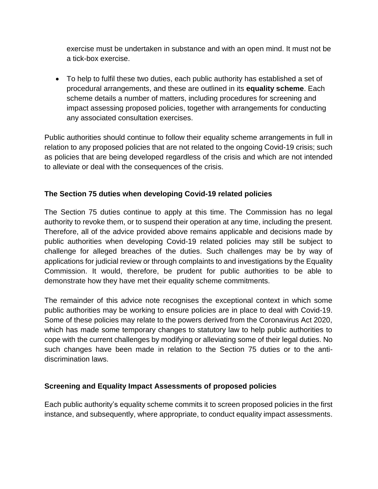exercise must be undertaken in substance and with an open mind. It must not be a tick-box exercise.

 To help to fulfil these two duties, each public authority has established a set of procedural arrangements, and these are outlined in its **equality scheme**. Each scheme details a number of matters, including procedures for screening and impact assessing proposed policies, together with arrangements for conducting any associated consultation exercises.

Public authorities should continue to follow their equality scheme arrangements in full in relation to any proposed policies that are not related to the ongoing Covid-19 crisis; such as policies that are being developed regardless of the crisis and which are not intended to alleviate or deal with the consequences of the crisis.

## **The Section 75 duties when developing Covid-19 related policies**

The Section 75 duties continue to apply at this time. The Commission has no legal authority to revoke them, or to suspend their operation at any time, including the present. Therefore, all of the advice provided above remains applicable and decisions made by public authorities when developing Covid-19 related policies may still be subject to challenge for alleged breaches of the duties. Such challenges may be by way of applications for judicial review or through complaints to and investigations by the Equality Commission. It would, therefore, be prudent for public authorities to be able to demonstrate how they have met their equality scheme commitments.

The remainder of this advice note recognises the exceptional context in which some public authorities may be working to ensure policies are in place to deal with Covid-19. Some of these policies may relate to the powers derived from the Coronavirus Act 2020, which has made some temporary changes to statutory law to help public authorities to cope with the current challenges by modifying or alleviating some of their legal duties. No such changes have been made in relation to the Section 75 duties or to the antidiscrimination laws.

## **Screening and Equality Impact Assessments of proposed policies**

Each public authority's equality scheme commits it to screen proposed policies in the first instance, and subsequently, where appropriate, to conduct equality impact assessments.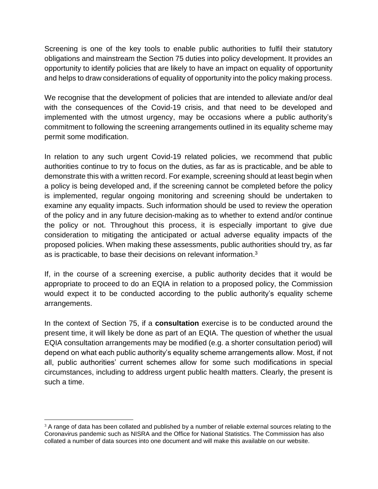Screening is one of the key tools to enable public authorities to fulfil their statutory obligations and mainstream the Section 75 duties into policy development. It provides an opportunity to identify policies that are likely to have an impact on equality of opportunity and helps to draw considerations of equality of opportunity into the policy making process.

We recognise that the development of policies that are intended to alleviate and/or deal with the consequences of the Covid-19 crisis, and that need to be developed and implemented with the utmost urgency, may be occasions where a public authority's commitment to following the screening arrangements outlined in its equality scheme may permit some modification.

In relation to any such urgent Covid-19 related policies, we recommend that public authorities continue to try to focus on the duties, as far as is practicable, and be able to demonstrate this with a written record. For example, screening should at least begin when a policy is being developed and, if the screening cannot be completed before the policy is implemented, regular ongoing monitoring and screening should be undertaken to examine any equality impacts. Such information should be used to review the operation of the policy and in any future decision-making as to whether to extend and/or continue the policy or not. Throughout this process, it is especially important to give due consideration to mitigating the anticipated or actual adverse equality impacts of the proposed policies. When making these assessments, public authorities should try, as far as is practicable, to base their decisions on relevant information.<sup>3</sup>

If, in the course of a screening exercise, a public authority decides that it would be appropriate to proceed to do an EQIA in relation to a proposed policy, the Commission would expect it to be conducted according to the public authority's equality scheme arrangements.

In the context of Section 75, if a **consultation** exercise is to be conducted around the present time, it will likely be done as part of an EQIA. The question of whether the usual EQIA consultation arrangements may be modified (e.g. a shorter consultation period) will depend on what each public authority's equality scheme arrangements allow. Most, if not all, public authorities' current schemes allow for some such modifications in special circumstances, including to address urgent public health matters. Clearly, the present is such a time.

 $\overline{a}$  $3$  A range of data has been collated and published by a number of reliable external sources relating to the Coronavirus pandemic such as NISRA and the Office for National Statistics. The Commission has also collated a number of data sources into one document and will make this available on our website.